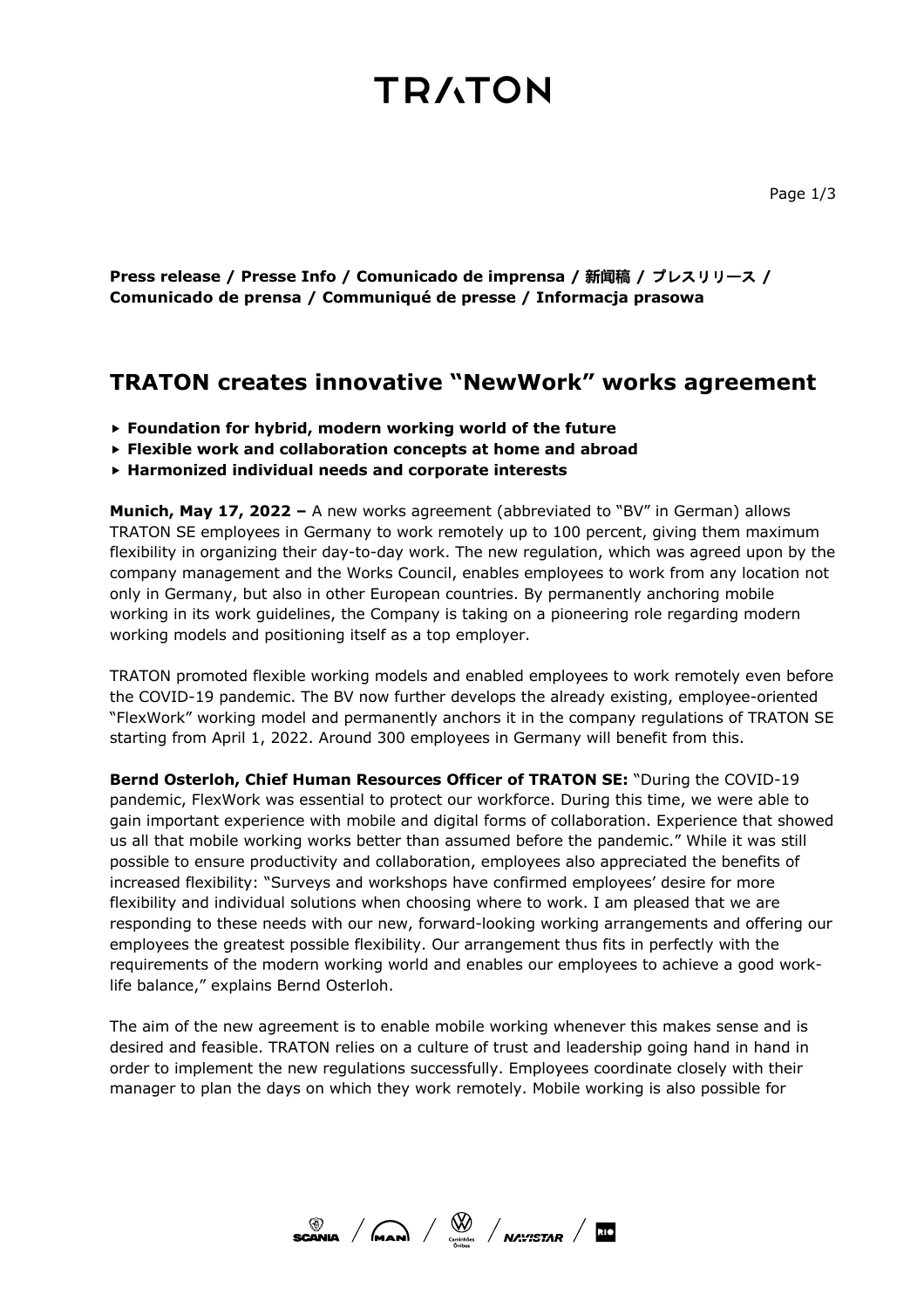## **TRATON**

**Press release / Presse Info / Comunicado de imprensa / 新闻稿 /** プレスリリース **/ Comunicado de prensa / Communiqué de presse / Informacja prasowa**

### **TRATON creates innovative "NewWork" works agreement**

- **Foundation for hybrid, modern working world of the future**
- **Flexible work and collaboration concepts at home and abroad**
- **Harmonized individual needs and corporate interests**

**Munich, May 17, 2022 –** A new works agreement (abbreviated to "BV" in German) allows TRATON SE employees in Germany to work remotely up to 100 percent, giving them maximum flexibility in organizing their day-to-day work. The new regulation, which was agreed upon by the company management and the Works Council, enables employees to work from any location not only in Germany, but also in other European countries. By permanently anchoring mobile working in its work guidelines, the Company is taking on a pioneering role regarding modern working models and positioning itself as a top employer.

TRATON promoted flexible working models and enabled employees to work remotely even before the COVID-19 pandemic. The BV now further develops the already existing, employee-oriented "FlexWork" working model and permanently anchors it in the company regulations of TRATON SE starting from April 1, 2022. Around 300 employees in Germany will benefit from this.

**Bernd Osterloh, Chief Human Resources Officer of TRATON SE:** "During the COVID-19 pandemic, FlexWork was essential to protect our workforce. During this time, we were able to gain important experience with mobile and digital forms of collaboration. Experience that showed us all that mobile working works better than assumed before the pandemic." While it was still possible to ensure productivity and collaboration, employees also appreciated the benefits of increased flexibility: "Surveys and workshops have confirmed employees' desire for more flexibility and individual solutions when choosing where to work. I am pleased that we are responding to these needs with our new, forward-looking working arrangements and offering our employees the greatest possible flexibility. Our arrangement thus fits in perfectly with the requirements of the modern working world and enables our employees to achieve a good worklife balance," explains Bernd Osterloh.

The aim of the new agreement is to enable mobile working whenever this makes sense and is desired and feasible. TRATON relies on a culture of trust and leadership going hand in hand in order to implement the new regulations successfully. Employees coordinate closely with their manager to plan the days on which they work remotely. Mobile working is also possible for

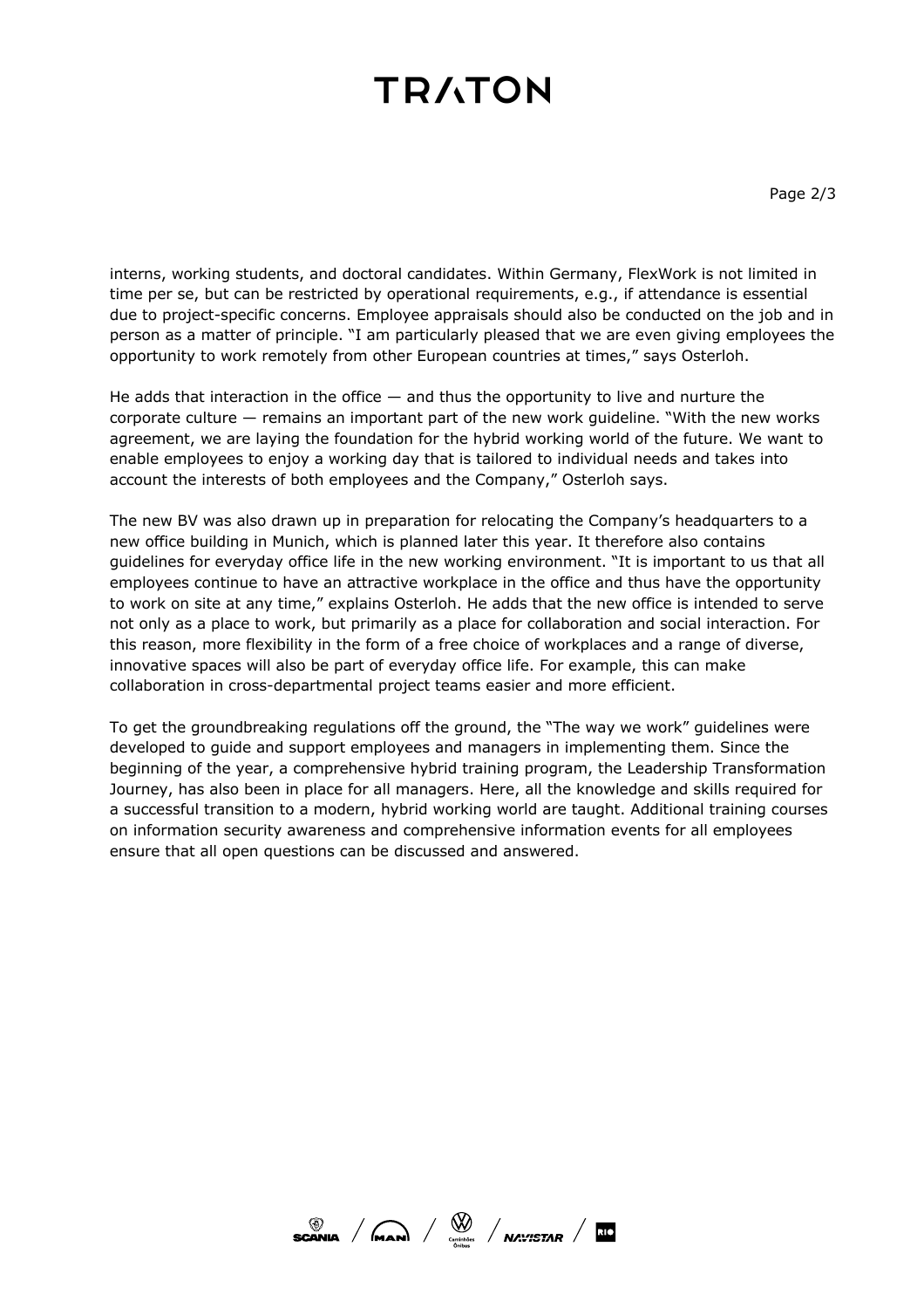# **TRATON**

interns, working students, and doctoral candidates. Within Germany, FlexWork is not limited in time per se, but can be restricted by operational requirements, e.g., if attendance is essential due to project-specific concerns. Employee appraisals should also be conducted on the job and in person as a matter of principle. "I am particularly pleased that we are even giving employees the opportunity to work remotely from other European countries at times," says Osterloh.

He adds that interaction in the office  $-$  and thus the opportunity to live and nurture the corporate culture — remains an important part of the new work guideline. "With the new works agreement, we are laying the foundation for the hybrid working world of the future. We want to enable employees to enjoy a working day that is tailored to individual needs and takes into account the interests of both employees and the Company," Osterloh says.

The new BV was also drawn up in preparation for relocating the Company's headquarters to a new office building in Munich, which is planned later this year. It therefore also contains guidelines for everyday office life in the new working environment. "It is important to us that all employees continue to have an attractive workplace in the office and thus have the opportunity to work on site at any time," explains Osterloh. He adds that the new office is intended to serve not only as a place to work, but primarily as a place for collaboration and social interaction. For this reason, more flexibility in the form of a free choice of workplaces and a range of diverse, innovative spaces will also be part of everyday office life. For example, this can make collaboration in cross-departmental project teams easier and more efficient.

To get the groundbreaking regulations off the ground, the "The way we work" guidelines were developed to guide and support employees and managers in implementing them. Since the beginning of the year, a comprehensive hybrid training program, the Leadership Transformation Journey, has also been in place for all managers. Here, all the knowledge and skills required for a successful transition to a modern, hybrid working world are taught. Additional training courses on information security awareness and comprehensive information events for all employees ensure that all open questions can be discussed and answered.